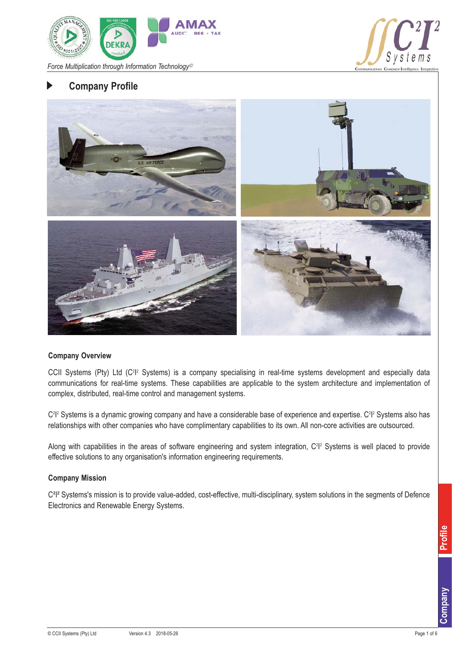



# **Company Profile**



#### **Company Overview**

CCII Systems (Pty) Ltd (C<sup>2</sup>I<sup>2</sup> Systems) is a company specialising in real-time systems development and especially data communications for real-time systems. These capabilities are applicable to the system architecture and implementation of complex, distributed, real-time control and management systems.

C<sup>2</sup>l<sup>2</sup> Systems is a dynamic growing company and have a considerable base of experience and expertise. C<sup>2</sup>l<sup>2</sup> Systems also has relationships with other companies who have complimentary capabilities to its own. All non-core activities are outsourced.

Along with capabilities in the areas of software engineering and system integration, C<sup>2</sup>l<sup>2</sup> Systems is well placed to provide effective solutions to any organisation's information engineering requirements.

#### **Company Mission**

C<sup>2</sup>I<sup>2</sup> Systems's mission is to provide value-added, cost-effective, multi-disciplinary, system solutions in the segments of Defence Electronics and Renewable Energy Systems.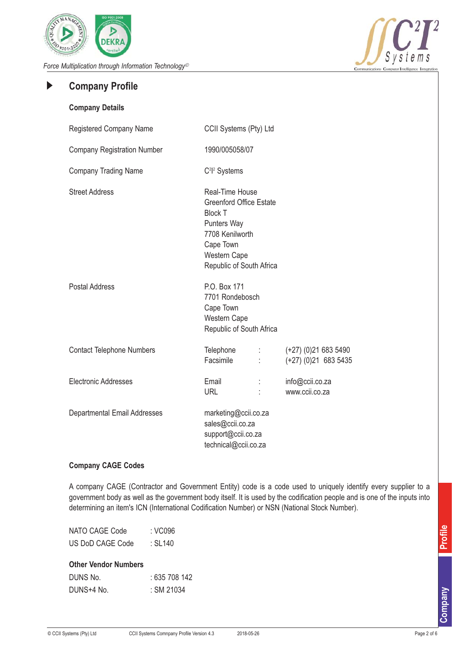



#### **Company Profile**  $\blacktriangleright$

| <b>Company Details</b>              |                                                                                                                                                                              |                                               |
|-------------------------------------|------------------------------------------------------------------------------------------------------------------------------------------------------------------------------|-----------------------------------------------|
| Registered Company Name             | CCII Systems (Pty) Ltd                                                                                                                                                       |                                               |
| <b>Company Registration Number</b>  | 1990/005058/07                                                                                                                                                               |                                               |
| <b>Company Trading Name</b>         | C <sup>2</sup> l <sup>2</sup> Systems                                                                                                                                        |                                               |
| <b>Street Address</b>               | Real-Time House<br><b>Greenford Office Estate</b><br><b>Block T</b><br><b>Punters Way</b><br>7708 Kenilworth<br>Cape Town<br><b>Western Cape</b><br>Republic of South Africa |                                               |
| <b>Postal Address</b>               | P.O. Box 171<br>7701 Rondebosch<br>Cape Town<br>Western Cape<br>Republic of South Africa                                                                                     |                                               |
| <b>Contact Telephone Numbers</b>    | Telephone<br>Facsimile<br>ŧ.                                                                                                                                                 | $(+27)(0)216835490$<br>$(+27)$ (0)21 683 5435 |
| Electronic Addresses                | Email<br><b>URL</b>                                                                                                                                                          | info@ccii.co.za<br>www.ccii.co.za             |
| <b>Departmental Email Addresses</b> | marketing@ccii.co.za<br>sales@ccii.co.za<br>support@ccii.co.za<br>technical@ccii.co.za                                                                                       |                                               |

### **Company CAGE Codes**

A company CAGE (Contractor and Government Entity) code is a code used to uniquely identify every supplier to a government body as well as the government body itself. It is used by the codification people and is one of the inputs into determining an item's ICN (International Codification Number) or NSN (National Stock Number).

| NATO CAGE Code   | : VC096 |
|------------------|---------|
| US DoD CAGE Code | : SL140 |

| <b>Other Vendor Numbers</b> |               |
|-----------------------------|---------------|
| DUNS No.                    | : 635 708 142 |
| DUNS+4 No.                  | : SM 21034    |

Profile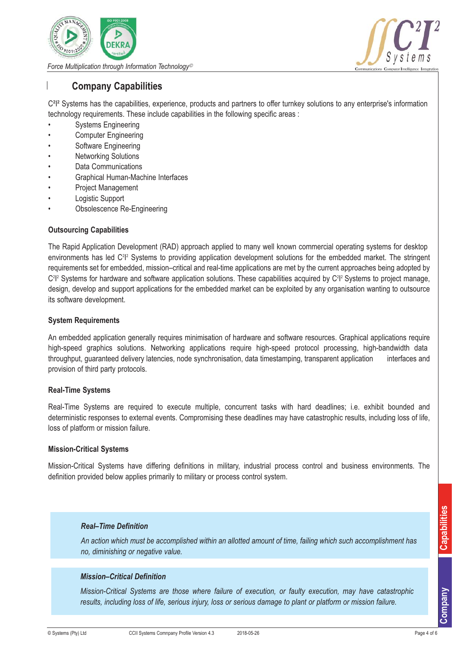



# **Company Capabilities**

 $C^{2}$ <sup>2</sup> Systems has the capabilities, experience, products and partners to offer turnkey solutions to any enterprise's information technology requirements. These include capabilities in the following specific areas :

- Systems Engineering
- Computer Engineering
- Software Engineering
- **Networking Solutions**
- Data Communications
- Graphical Human-Machine Interfaces
- Project Management
- Logistic Support
- Obsolescence Re-Engineering

### **Outsourcing Capabilities**

The Rapid Application Development (RAD) approach applied to many well known commercial operating systems for desktop environments has led C<sup>2</sup>I<sup>2</sup> Systems to providing application development solutions for the embedded market. The stringent requirements set for embedded, mission–critical and real-time applications are met by the current approaches being adopted by C<sup>2</sup>|<sup>2</sup> Systems for hardware and software application solutions. These capabilities acquired by C<sup>2</sup>|<sup>2</sup> Systems to project manage, design, develop and support applications for the embedded market can be exploited by any organisation wanting to outsource its software development.

#### **System Requirements**

An embedded application generally requires minimisation of hardware and software resources. Graphical applications require high-speed graphics solutions. Networking applications require high-speed protocol processing, high-bandwidth data throughput, guaranteed delivery latencies, node synchronisation, data timestamping, transparent application interfaces and provision of third party protocols.

### **Real-Time Systems**

Real-Time Systems are required to execute multiple, concurrent tasks with hard deadlines; i.e. exhibit bounded and deterministic responses to external events. Compromising these deadlines may have catastrophic results, including loss of life, loss of platform or mission failure.

### **Mission-Critical Systems**

Mission-Critical Systems have differing definitions in military, industrial process control and business environments. The definition provided below applies primarily to military or process control system.

#### *Real–Time Definition*

*An action which must be accomplished within an allotted amount of time, failing which such accomplishment has no, diminishing or negative value.*

### *Mission–Critical Definition*

*Mission-Critical Systems are those where failure of execution, or faulty execution, may have catastrophic results, including loss of life, serious injury, loss or serious damage to plant or platform or mission failure.*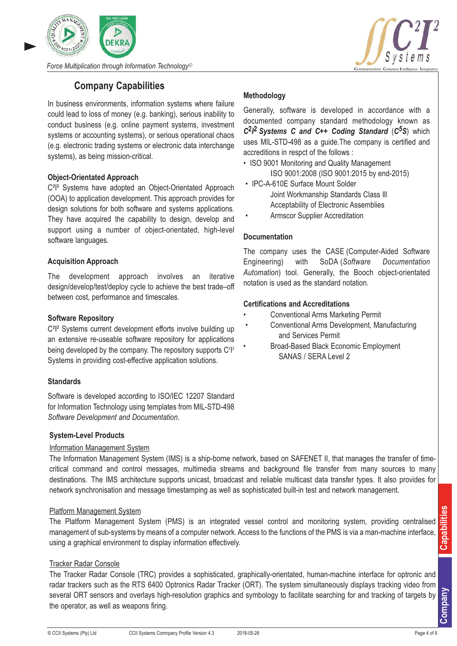



# **Company Capabilities**

In business environments, information systems where failure could lead to loss of money (e.g. banking), serious inability to conduct business (e.g. online payment systems, investment systems or accounting systems), or serious operational chaos (e.g. electronic trading systems or electronic data interchange systems), as being mission-critical.

# **Object-Orientated Approach**

C<sup>2</sup>I<sup>2</sup> Systems have adopted an Object-Orientated Approach (OOA) to application development. This approach provides for design solutions for both software and systems applications. They have acquired the capability to design, develop and support using a number of object-orientated, high-level software languages.

# **Acquisition Approach**

The development approach involves an iterative design/develop/test/deploy cycle to achieve the best trade–off between cost, performance and timescales.

### **Software Repository**

C<sup>2</sup>I<sup>2</sup> Systems current development efforts involve building up an extensive re-useable software repository for applications being developed by the company. The repository supports  $C^{2}$ <sup>2</sup> Systems in providing cost-effective application solutions.

### **Standards**

Software is developed according to ISO/IEC 12207 Standard for Information Technology using templates from MIL-STD-498 *Software Development and Documentation*.

### **System-Level Products**

### Information Management System

The Information Management System (IMS) is a ship-borne network, based on SAFENET II, that manages the transfer of timecritical command and control messages, multimedia streams and background file transfer from many sources to many destinations. The IMS architecture supports unicast, broadcast and reliable multicast data transfer types. It also provides for network synchronisation and message timestamping as well as sophisticated built-in test and network management.

### Platform Management System

The Platform Management System (PMS) is an integrated vessel control and monitoring system, providing centralised management of sub-systems by means of a computer network. Access to the functions of the PMS is via a man-machine interface, using a graphical environment to display information effectively.

### Tracker Radar Console

The Tracker Radar Console (TRC) provides a sophisticated, graphically-orientated, human-machine interface for optronic and radar trackers such as the RTS 6400 Optronics Radar Tracker (ORT). The system simultaneously displays tracking video from several ORT sensors and overlays high-resolution graphics and symbology to facilitate searching for and tracking of targets by the operator, as well as weapons firing.

# **Methodology**

Generally, software is developed in accordance with a documented company standard methodology known as *C***2***I* **2** *Systems C and C++ Coding Standard* (*C5S*) which uses MIL-STD-498 as a guide.The company is certified and accreditions in respct of the follows :

- ISO 9001 Monitoring and Quality Management ISO 9001:2008 (ISO 9001:2015 by end-2015)
- IPC-A-610E Surface Mount Solder Joint Workmanship Standards Class Ill Acceptability of Electronic Assemblies
- Armscor Supplier Accreditation

### **Documentation**

The company uses the CASE (Computer-Aided Software Engineering) with SoDA (*Software Documentation Automation*) tool. Generally, the Booch object-orientated notation is used as the standard notation.

### **Certifications and Accreditations**

- Conventional Arms Marketing Permit
- Conventional Arms Development, Manufacturing and Services Permit
	- Broad-Based Black Economic Employment SANAS / SERA Level 2

**Company**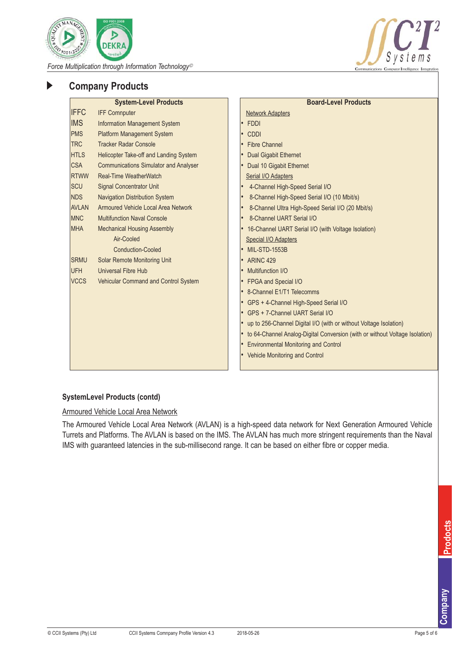



# **Company Products**

|              | <b>System-Level Products</b>                 | <b>Board-Level Products</b>                                                 |
|--------------|----------------------------------------------|-----------------------------------------------------------------------------|
| <b>IFFC</b>  | <b>IFF Comnputer</b>                         | <b>Network Adapters</b>                                                     |
| <b>IMS</b>   | <b>Information Management System</b>         | <b>FDDI</b><br>$\bullet$                                                    |
| <b>PMS</b>   | <b>Platform Management System</b>            | <b>CDDI</b>                                                                 |
| <b>TRC</b>   | <b>Tracker Radar Console</b>                 | <b>Fibre Channel</b>                                                        |
| <b>HTLS</b>  | Helicopter Take-off and Landing System       | <b>Dual Gigabit Ethernet</b>                                                |
| <b>CSA</b>   | <b>Communications Simulator and Analyser</b> | Dual 10 Gigabit Ethernet                                                    |
| <b>RTWW</b>  | Real-Time WeatherWatch                       | Serial I/O Adapters                                                         |
| <b>SCU</b>   | <b>Signal Concentrator Unit</b>              | 4-Channel High-Speed Serial I/O                                             |
| <b>NDS</b>   | <b>Navigation Distribution System</b>        | 8-Channel High-Speed Serial I/O (10 Mbit/s)                                 |
| <b>AVLAN</b> | Armoured Vehicle Local Area Network          | 8-Channel Ultra High-Speed Serial I/O (20 Mbit/s)                           |
| <b>MNC</b>   | <b>Multifunction Naval Console</b>           | 8-Channel UART Serial I/O                                                   |
| <b>MHA</b>   | <b>Mechanical Housing Assembly</b>           | 16-Channel UART Serial I/O (with Voltage Isolation)                         |
|              | Air-Cooled                                   | <b>Special I/O Adapters</b>                                                 |
|              | <b>Conduction-Cooled</b>                     | <b>MIL-STD-1553B</b>                                                        |
| <b>SRMU</b>  | Solar Remote Monitoring Unit                 | ARINC <sub>429</sub>                                                        |
| <b>UFH</b>   | <b>Universal Fibre Hub</b>                   | Multifunction I/O                                                           |
| <b>VCCS</b>  | Vehicular Command and Control System         | FPGA and Special I/O                                                        |
|              |                                              | 8-Channel E1/T1 Telecomms                                                   |
|              |                                              | GPS + 4-Channel High-Speed Serial I/O                                       |
|              |                                              | GPS + 7-Channel UART Serial I/O                                             |
|              |                                              | up to 256-Channel Digital I/O (with or without Voltage Isolation)           |
|              |                                              | to 64-Channel Analog-Digital Conversion (with or without Voltage Isolation) |
|              |                                              | <b>Environmental Monitoring and Control</b>                                 |
|              |                                              | • Vehicle Monitoring and Control                                            |
|              |                                              |                                                                             |

### **SystemLevel Products (contd)**

Armoured Vehicle Local Area Network

The Armoured Vehicle Local Area Network (AVLAN) is a high-speed data network for Next Generation Armoured Vehicle Turrets and Platforms. The AVLAN is based on the IMS. The AVLAN has much more stringent requirements than the Naval IMS with guaranteed latencies in the sub-millisecond range. It can be based on either fibre or copper media.